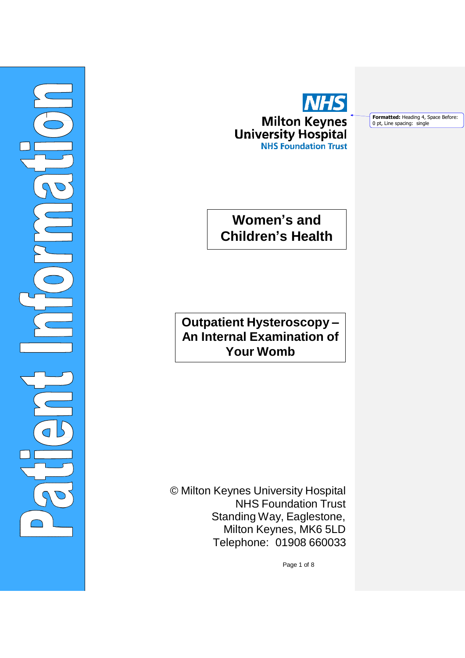



**Formatted:** Heading 4, Space Before: 0 pt, Line spacing: single

# **Women's and Children's Health**

**Outpatient Hysteroscopy – An Internal Examination of Your Womb**

© Milton Keynes University Hospital NHS Foundation Trust Standing Way, Eaglestone, Milton Keynes, MK6 5LD Telephone: 01908 660033

Page 1 of 8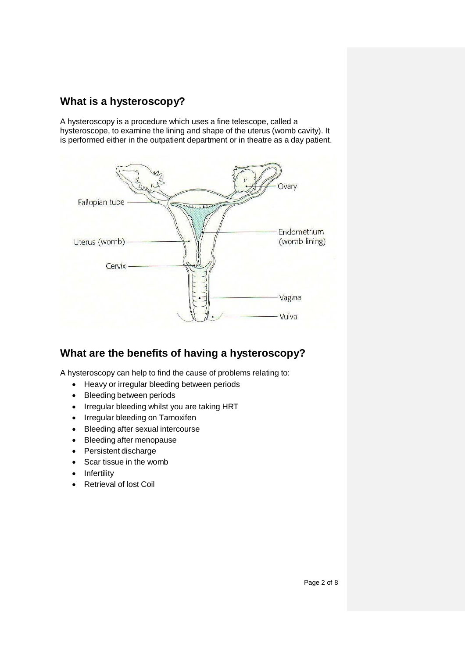# **What is a hysteroscopy?**

A hysteroscopy is a procedure which uses a fine telescope, called a hysteroscope, to examine the lining and shape of the uterus (womb cavity). It is performed either in the outpatient department or in theatre as a day patient.



# **What are the benefits of having a hysteroscopy?**

A hysteroscopy can help to find the cause of problems relating to:

- Heavy or irregular bleeding between periods
- Bleeding between periods
- Irregular bleeding whilst you are taking HRT
- Irregular bleeding on Tamoxifen
- Bleeding after sexual intercourse
- Bleeding after menopause
- Persistent discharge
- Scar tissue in the womb
- Infertility
- Retrieval of lost Coil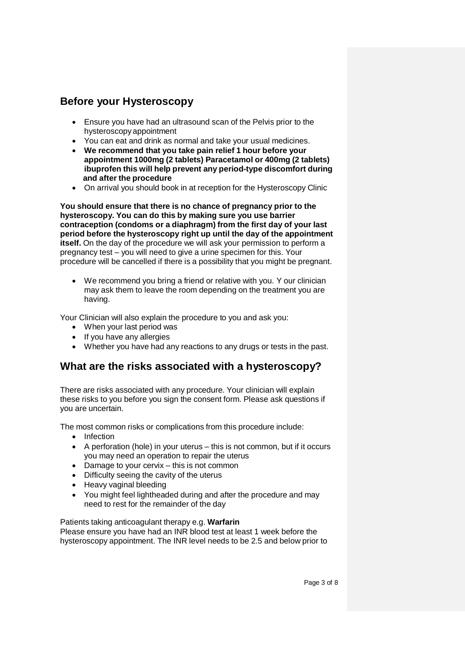### **Before your Hysteroscopy**

- Ensure you have had an ultrasound scan of the Pelvis prior to the hysteroscopyappointment
- You can eat and drink as normal and take your usual medicines.
- **We recommend that you take pain relief 1 hour before your appointment 1000mg (2 tablets) Paracetamol or 400mg (2 tablets) ibuprofen this will help prevent any period-type discomfort during and after the procedure**
- On arrival you should book in at reception for the Hysteroscopy Clinic

**You should ensure that there is no chance of pregnancy prior to the hysteroscopy. You can do this by making sure you use barrier contraception (condoms or a diaphragm) from the first day of your last period before the hysteroscopy right up until the day of the appointment itself.** On the day of the procedure we will ask your permission to perform a pregnancy test – you will need to give a urine specimen for this. Your procedure will be cancelled if there is a possibility that you might be pregnant.

We recommend you bring a friend or relative with you. Y our clinician may ask them to leave the room depending on the treatment you are having.

Your Clinician will also explain the procedure to you and ask you:

- When your last period was
- If you have any allergies
- Whether you have had any reactions to any drugs or tests in the past.

# **What are the risks associated with a hysteroscopy?**

There are risks associated with any procedure. Your clinician will explain these risks to you before you sign the consent form. Please ask questions if you are uncertain.

The most common risks or complications from this procedure include:

- Infection
- A perforation (hole) in your uterus this is not common, but if it occurs you may need an operation to repair the uterus
- Damage to your cervix this is not common
- Difficulty seeing the cavity of the uterus
- Heavy vaginal bleeding
- You might feel lightheaded during and after the procedure and may need to rest for the remainder of the day

#### Patients taking anticoagulant therapy e.g. **Warfarin** Please ensure you have had an INR blood test at least 1 week before the hysteroscopy appointment. The INR level needs to be 2.5 and below prior to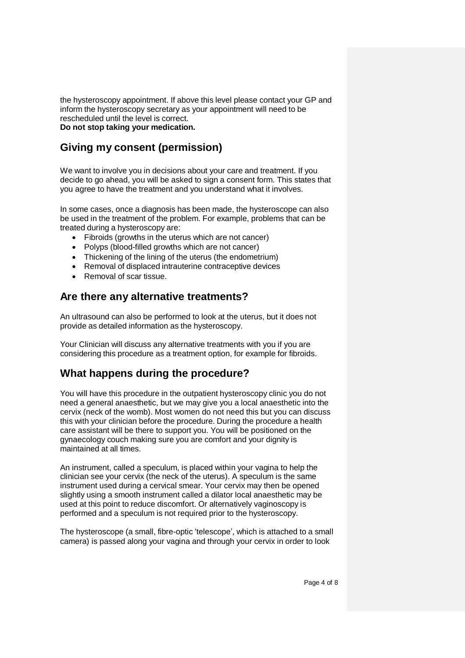the hysteroscopy appointment. If above this level please contact your GP and inform the hysteroscopy secretary as your appointment will need to be rescheduled until the level is correct. **Do not stop taking your medication.**

# **Giving my consent (permission)**

We want to involve you in decisions about your care and treatment. If you decide to go ahead, you will be asked to sign a consent form. This states that you agree to have the treatment and you understand what it involves.

In some cases, once a diagnosis has been made, the hysteroscope can also be used in the treatment of the problem. For example, problems that can be treated during a hysteroscopy are:

- Fibroids (growths in the uterus which are not cancer)
- Polyps (blood-filled growths which are not cancer)
- Thickening of the lining of the uterus (the endometrium)
- Removal of displaced intrauterine contraceptive devices
- Removal of scar tissue.

### **Are there any alternative treatments?**

An ultrasound can also be performed to look at the uterus, but it does not provide as detailed information as the hysteroscopy.

Your Clinician will discuss any alternative treatments with you if you are considering this procedure as a treatment option, for example for fibroids.

# **What happens during the procedure?**

You will have this procedure in the outpatient hysteroscopy clinic you do not need a general anaesthetic, but we may give you a local anaesthetic into the cervix (neck of the womb). Most women do not need this but you can discuss this with your clinician before the procedure. During the procedure a health care assistant will be there to support you. You will be positioned on the gynaecology couch making sure you are comfort and your dignity is maintained at all times.

An instrument, called a speculum, is placed within your vagina to help the clinician see your cervix (the neck of the uterus). A speculum is the same instrument used during a cervical smear. Your cervix may then be opened slightly using a smooth instrument called a dilator local anaesthetic may be used at this point to reduce discomfort. Or alternatively vaginoscopy is performed and a speculum is not required prior to the hysteroscopy.

The hysteroscope (a small, fibre-optic 'telescope', which is attached to a small camera) is passed along your vagina and through your cervix in order to look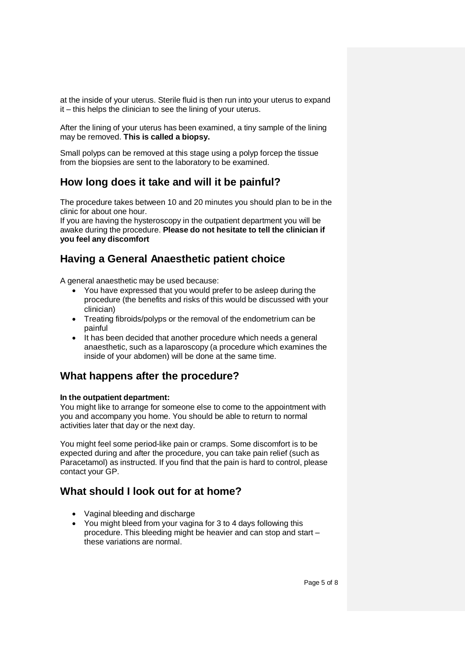at the inside of your uterus. Sterile fluid is then run into your uterus to expand it – this helps the clinician to see the lining of your uterus.

After the lining of your uterus has been examined, a tiny sample of the lining may be removed. **This is called a biopsy.**

Small polyps can be removed at this stage using a polyp forcep the tissue from the biopsies are sent to the laboratory to be examined.

# **How long does it take and will it be painful?**

The procedure takes between 10 and 20 minutes you should plan to be in the clinic for about one hour.

If you are having the hysteroscopy in the outpatient department you will be awake during the procedure. **Please do not hesitate to tell the clinician if you feel any discomfort**

# **Having a General Anaesthetic patient choice**

A general anaesthetic may be used because:

- You have expressed that you would prefer to be asleep during the procedure (the benefits and risks of this would be discussed with your clinician)
- Treating fibroids/polyps or the removal of the endometrium can be painful
- It has been decided that another procedure which needs a general anaesthetic, such as a laparoscopy (a procedure which examines the inside of your abdomen) will be done at the same time.

### **What happens after the procedure?**

#### **In the outpatient department:**

You might like to arrange for someone else to come to the appointment with you and accompany you home. You should be able to return to normal activities later that day or the next day.

You might feel some period-like pain or cramps. Some discomfort is to be expected during and after the procedure, you can take pain relief (such as Paracetamol) as instructed. If you find that the pain is hard to control, please contact your GP.

# **What should I look out for at home?**

- Vaginal bleeding and discharge
- You might bleed from your vagina for 3 to 4 days following this procedure. This bleeding might be heavier and can stop and start – these variations are normal.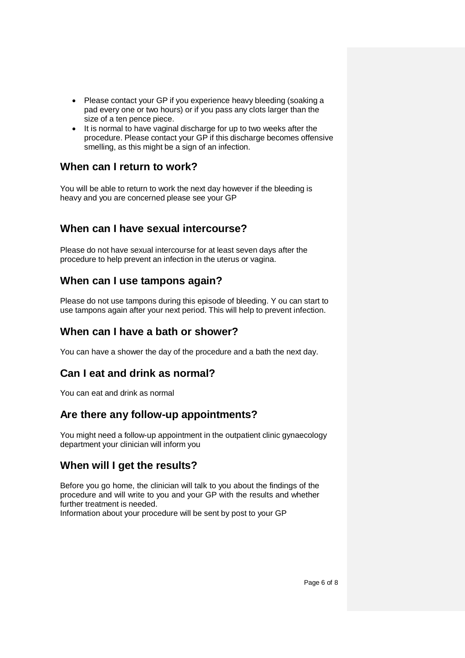- Please contact your GP if you experience heavy bleeding (soaking a pad every one or two hours) or if you pass any clots larger than the size of a ten pence piece.
- It is normal to have vaginal discharge for up to two weeks after the procedure. Please contact your GP if this discharge becomes offensive smelling, as this might be a sign of an infection.

### **When can I return to work?**

You will be able to return to work the next day however if the bleeding is heavy and you are concerned please see your GP

# **When can I have sexual intercourse?**

Please do not have sexual intercourse for at least seven days after the procedure to help prevent an infection in the uterus or vagina.

# **When can I use tampons again?**

Please do not use tampons during this episode of bleeding. Y ou can start to use tampons again after your next period. This will help to prevent infection.

### **When can I have a bath or shower?**

You can have a shower the day of the procedure and a bath the next day.

# **Can I eat and drink as normal?**

You can eat and drink as normal

# **Are there any follow-up appointments?**

You might need a follow-up appointment in the outpatient clinic gynaecology department your clinician will inform you

### **When will I get the results?**

Before you go home, the clinician will talk to you about the findings of the procedure and will write to you and your GP with the results and whether further treatment is needed.

Information about your procedure will be sent by post to your GP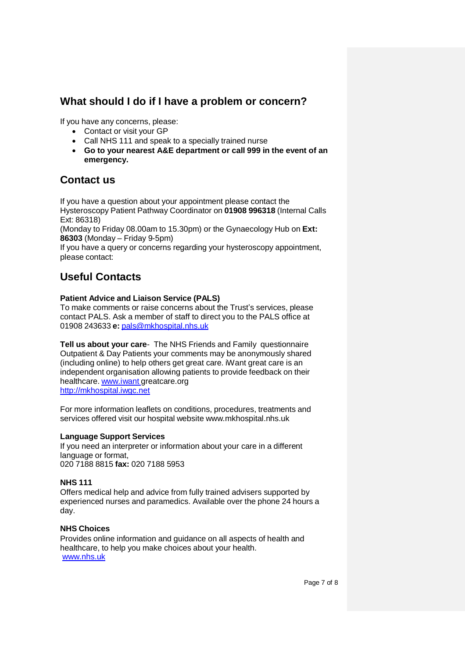#### **What should I do if I have a problem or concern?**

If you have any concerns, please:

- Contact or visit your GP
- Call NHS 111 and speak to a specially trained nurse
- **Go to your nearest A&E department or call 999 in the event of an emergency.**

### **Contact us**

If you have a question about your appointment please contact the Hysteroscopy Patient Pathway Coordinator on **01908 996318** (Internal Calls Ext: 86318)

(Monday to Friday 08.00am to 15.30pm) or the Gynaecology Hub on **Ext: 86303** (Monday – Friday 9-5pm)

If you have a query or concerns regarding your hysteroscopy appointment, please contact:

# **Useful Contacts**

#### **Patient Advice and Liaison Service (PALS)**

To make comments or raise concerns about the Trust's services, please contact PALS. Ask a member of staff to direct you to the PALS office at 01908 243633 **e:** [pals@mkhospital.nhs.uk](mailto:pals@mkhospital.nhs.uk)

**Tell us about your care**- The NHS Friends and Family questionnaire Outpatient & Day Patients your comments may be anonymously shared (including online) to help others get great care. iWant great care is an independent organisation allowing patients to provide feedback on their healthcare. www.iwant greatcare.org [http://mkhospital.iwgc.net](http://mkhospital.iwgc.net/)

For more information leaflets on conditions, procedures, treatments and services offered visit our hospital website [www.mkhospital.nhs.uk](http://www.mkhospital.nhs.uk/)

#### **Language Support Services**

If you need an interpreter or information about your care in a different language or format, 020 7188 8815 **fax:** 020 7188 5953

#### **NHS 111**

Offers medical help and advice from fully trained advisers supported by experienced nurses and paramedics. Available over the phone 24 hours a day.

#### **NHS Choices**

Provides online information and guidance on all aspects of health and healthcare, to help you make choices about your health. [www.nhs.uk](http://www.nhs.uk/)